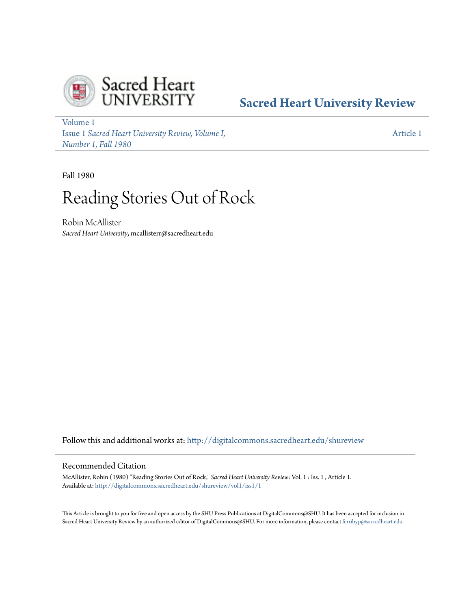

## **[Sacred Heart University Review](http://digitalcommons.sacredheart.edu/shureview?utm_source=digitalcommons.sacredheart.edu%2Fshureview%2Fvol1%2Fiss1%2F1&utm_medium=PDF&utm_campaign=PDFCoverPages)**

[Volume 1](http://digitalcommons.sacredheart.edu/shureview/vol1?utm_source=digitalcommons.sacredheart.edu%2Fshureview%2Fvol1%2Fiss1%2F1&utm_medium=PDF&utm_campaign=PDFCoverPages) Issue 1 *[Sacred Heart University Review, Volume I,](http://digitalcommons.sacredheart.edu/shureview/vol1/iss1?utm_source=digitalcommons.sacredheart.edu%2Fshureview%2Fvol1%2Fiss1%2F1&utm_medium=PDF&utm_campaign=PDFCoverPages) [Number 1, Fall 1980](http://digitalcommons.sacredheart.edu/shureview/vol1/iss1?utm_source=digitalcommons.sacredheart.edu%2Fshureview%2Fvol1%2Fiss1%2F1&utm_medium=PDF&utm_campaign=PDFCoverPages)*

[Article 1](http://digitalcommons.sacredheart.edu/shureview/vol1/iss1/1?utm_source=digitalcommons.sacredheart.edu%2Fshureview%2Fvol1%2Fiss1%2F1&utm_medium=PDF&utm_campaign=PDFCoverPages)

Fall 1980

# Reading Stories Out of Rock

Robin McAllister *Sacred Heart University*, mcallisterr@sacredheart.edu

Follow this and additional works at: [http://digitalcommons.sacredheart.edu/shureview](http://digitalcommons.sacredheart.edu/shureview?utm_source=digitalcommons.sacredheart.edu%2Fshureview%2Fvol1%2Fiss1%2F1&utm_medium=PDF&utm_campaign=PDFCoverPages)

#### Recommended Citation

McAllister, Robin (1980) "Reading Stories Out of Rock," *Sacred Heart University Review*: Vol. 1 : Iss. 1 , Article 1. Available at: [http://digitalcommons.sacredheart.edu/shureview/vol1/iss1/1](http://digitalcommons.sacredheart.edu/shureview/vol1/iss1/1?utm_source=digitalcommons.sacredheart.edu%2Fshureview%2Fvol1%2Fiss1%2F1&utm_medium=PDF&utm_campaign=PDFCoverPages)

This Article is brought to you for free and open access by the SHU Press Publications at DigitalCommons@SHU. It has been accepted for inclusion in Sacred Heart University Review by an authorized editor of DigitalCommons@SHU. For more information, please contact [ferribyp@sacredheart.edu](mailto:ferribyp@sacredheart.edu).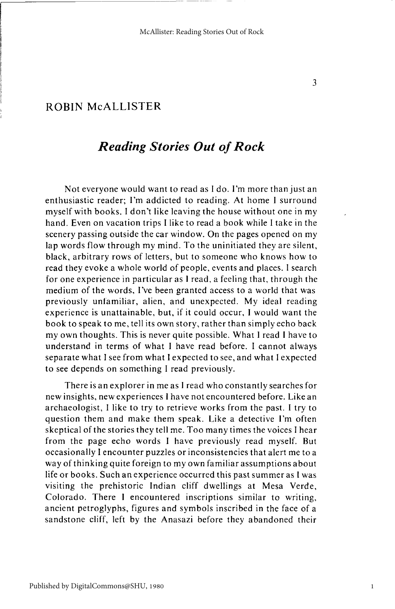### *Reading Stories Out of Rock*

Not everyone would want to read as I do. I'm more than just an enthusiastic reader; I'm addicted to reading. At home I surround myself with books. I don't like leaving the house without one in my hand. Even on vacation trips I like to read a book while I take in the scenery passing outside the car window. On the pages opened on my lap words flow through my mind. To the uninitiated they are silent, black, arbitrary rows of letters, but to someone who knows how to read they evoke a whole world of people, events and places. I search for one experience in particular as I read, a feeling that, through the medium of the words, I've been granted access to a world that was previously unfamiliar, alien, and unexpected. My ideal reading experience is unattainable, but, if it could occur, I would want the book to speak to me, tell its own story, rather than simply echo back my own thoughts. This is never quite possible. What I read I have to understand in terms of what I have read before. I cannot always separate what I see from what I expected to see, and what I expected to see depends on something I read previously.

There is an explorer in me as I read who constantly searches for new insights, new experiences I have not encountered before. Like an archaeologist, I like to try to retrieve works from the past. I try to question them and make them speak. Like a detective I'm often skeptical of the stories they tell me. Too many times the voices I hear from the page echo words I have previously read myself. But occasionally I encounter puzzles or inconsistencies that alert me to a way of thinking quite foreign to my own familiar assumptions about life or books. Such an experience occurred this past summer as I was visiting the prehistoric Indian cliff dwellings at Mesa Verde, Colorado. There I encountered inscriptions similar to writing, ancient petroglyphs, figures and symbols inscribed in the face of a sandstone cliff, left by the Anasazi before they abandoned their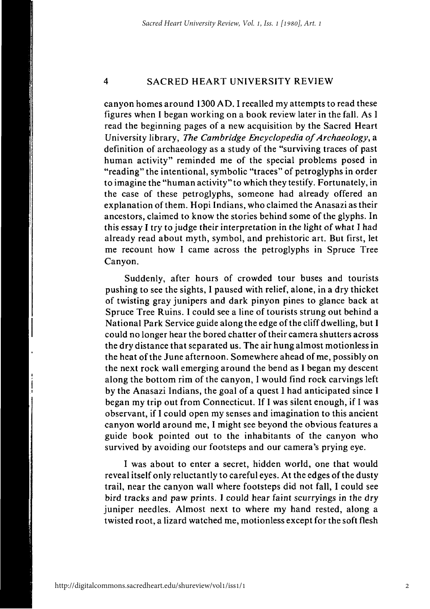#### $\overline{4}$ SACRED HEART UNIVERSITY REVIEW

canyon homes around 1300 AD. I recalled my attempts to read these figures when I began working on a book review later in the fall. As I read the beginning pages of a new acquisition by the Sacred Heart University library, *The Cambridge Encyclopedia of Archaeology,* a definition of archaeology as a study of the "surviving traces of past human activity" reminded me of the special problems posed in "reading" the intentional, symbolic "traces" of petroglyphs in order to imagine the "human activity" to which they testify. Fortunately, in the case of these petroglyphs, someone had already offered an explanation of them. Hopi Indians, who claimed the Anasazi as their ancestors, claimed to know the stories behind some of the glyphs. In this essay I try to judge their interpretation in the light of what I had already read about myth, symbol, and prehistoric art. But first, let me recount how I came across the petroglyphs in Spruce Tree Canyon.

Suddenly, after hours of crowded tour buses and tourists pushing to see the sights, I paused with relief, alone, in a dry thicket of twisting gray junipers and dark pinyon pines to glance back at Spruce Tree Ruins. I could see a line of tourists strung out behind a National Park Service guide along the edge of the cliff dwelling, but I could no longer hear the bored chatter of their camera shutters across the dry distance that separated us. The air hung almost motionless in the heat of the June afternoon. Somewhere ahead of me, possibly on the next rock wall emerging around the bend as I began my descent along the bottom rim of the canyon, I would find rock carvings left by the Anasazi Indians, the goal of a quest I had anticipated since I began my trip out from Connecticut. If I was silent enough, if I was observant, if I could open my senses and imagination to this ancient canyon world around me, I might see beyond the obvious features a guide book pointed out to the inhabitants of the canyon who survived by avoiding our footsteps and our camera's prying eye.

I was about to enter a secret, hidden world, one that would reveal itself only reluctantly to careful eyes. At the edges of the dusty trail, near the canyon wall where footsteps did not fall, I could see bird tracks and paw prints. I could hear faint scurryings in the dry juniper needles. Almost next to where my hand rested, along a twisted root, a lizard watched me, motionless except for the soft flesh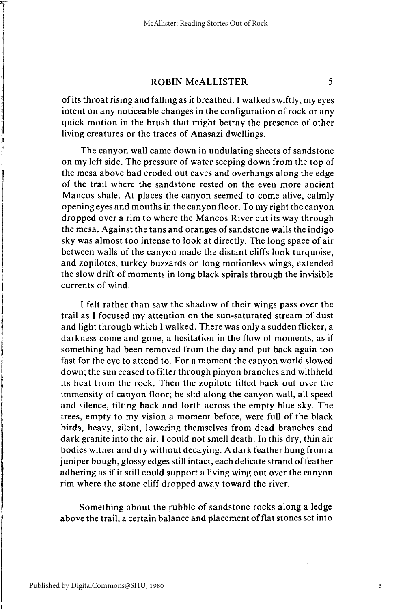of its throat rising and falling as it breathed. I walked swiftly, my eyes intent on any noticeable changes in the configuration of rock or any quick motion in the brush that might betray the presence of other living creatures or the traces of Anasazi dwellings.

The canyon wall came down in undulating sheets of sandstone on my left side. The pressure of water seeping down from the top of the mesa above had eroded out caves and overhangs along the edge of the trail where the sandstone rested on the even more ancient Mancos shale. At places the canyon seemed to come alive, calmly opening eyes and mouths in the canyon floor. To my right the canyon dropped over a rim to where the Mancos River cut its way through the mesa. Against the tans and oranges of sandstone walls the indigo sky was almost too intense to look at directly. The long space of air between walls of the canyon made the distant cliffs look turquoise, and zopilotes, turkey buzzards on long motionless wings, extended the slow drift of moments in long black spirals through the invisible currents of wind.

I felt rather than saw the shadow of their wings pass over the trail as I focused my attention on the sun-saturated stream of dust and light through which I walked. There was only a sudden flicker, a darkness come and gone, a hesitation in the flow of moments, as if something had been removed from the day and put back again too fast for the eye to attend to. For a moment the canyon world slowed down; the sun ceased to filter through pinyon branches and withheld its heat from the rock. Then the zopilote tilted back out over the immensity of canyon floor; he slid along the canyon wall, all speed and silence, tilting back and forth across the empty blue sky. The trees, empty to my vision a moment before, were full of the black birds, heavy, silent, lowering themselves from dead branches and dark granite into the air. I could not smell death. In this dry, thin air bodies wither and dry without decaying. A dark feather hung from a juniper bough, glossy edges still intact, each delicate strand of feather adhering as if it still could support a living wing out over the canyon rim where the stone cliff dropped away toward the river.

Something about the rubble of sandstone rocks along a ledge above the trail, a certain balance and placement of flat stones set into

3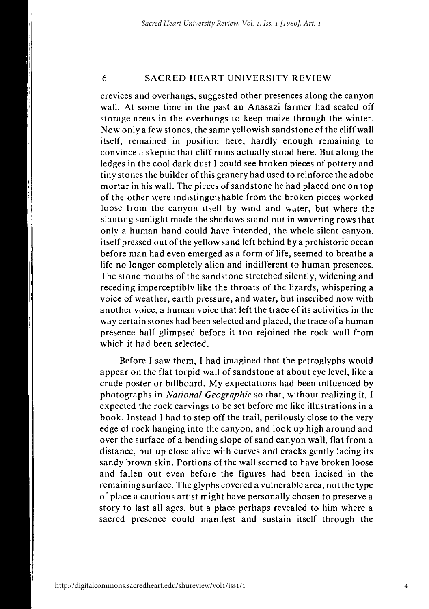6 SACRED HEART UNIVERSITY REVIEW

crevices and overhangs, suggested other presences along the canyon wall. At some time in the past an Anasazi farmer had sealed off storage areas in the overhangs to keep maize through the winter. Now only a few stones, the same yellowish sandstone of the cliff wall itself, remained in position here, hardly enough remaining to convince a skeptic that cliff ruins actually stood here. But along the ledges in the cool dark dust I could see broken pieces of pottery and tiny stones the builder of this granery had used to reinforce the adobe mortar in his wall. The pieces of sandstone he had placed one on top of the other were indistinguishable from the broken pieces worked loose from the canyon itself by wind and water, but where the slanting sunlight made the shadows stand out in wavering rows that only a human hand could have intended, the whole silent canyon, itself pressed out of the yellow sand left behind by a prehistoric ocean before man had even emerged as a form of life, seemed to breathe a life no longer completely alien and indifferent to human presences. The stone mouths of the sandstone stretched silently, widening and receding imperceptibly like the throats of the lizards, whispering a voice of weather, earth pressure, and water, but inscribed now with another voice, a human voice that left the trace of its activities in the way certain stones had been selected and placed, the trace of a human presence half glimpsed before it too rejoined the rock wall from which it had been selected.

Before I saw them, I had imagined that the petroglyphs would appear on the flat torpid wall of sandstone at about eye level, like a crude poster or billboard. My expectations had been influenced by photographs in *National Geographic* so that, without realizing it, I expected the rock carvings to be set before me like illustrations in a book. Instead I had to step off the trail, perilously close to the very edge of rock hanging into the canyon, and look up high around and over the surface of a bending slope of sand canyon wall, flat from a distance, but up close alive with curves and cracks gently lacing its sandy brown skin. Portions of the wall seemed to have broken loose and fallen out even before the figures had been incised in the remaining surface. The glyphs covered a vulnerable area, not the type of place a cautious artist might have personally chosen to preserve a story to last all ages, but a place perhaps revealed to him where a sacred presence could manifest and sustain itself through the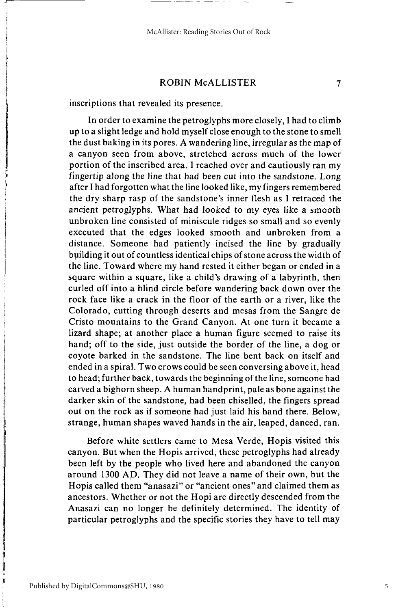inscriptions that revealed its presence.

In order to examine the petroglyphs more closely, I had to climb up to a slight ledge and hold myself close enough to the stone to smell the dust baking in its pores. A wandering line, irregular as the map of a canyon seen from above, stretched across much of the lower portion of the inscribed area. I reached over and cautiously ran my fingertip along the line that had been cut into the sandstone. Long after I had forgotten what the line looked like, my fingers remembered the dry sharp rasp of the sandstone's inner flesh as I retraced the ancient petroglyphs. What had looked to my eyes like a smooth unbroken line consisted of miniscule ridges so small and so evenly executed that the edges looked smooth and unbroken from a distance. Someone had patiently incised the line by gradually building it out of countless identical chips of stone across the width of the line. Toward where my hand rested it either began or ended in a square within a square, like a child's drawing of a labyrinth, then curled off into a blind circle before wandering back down over the rock face like a crack in the floor of the earth or a river, like the Colorado, cutting through deserts and mesas from the Sangre de Cristo mountains to the Grand Canyon. At one turn it became a lizard shape; at another place a human figure seemed to raise its hand; off to the side, just outside the border of the line, a dog or coyote barked in the sandstone. The line bent back on itself and ended in a spiral. Two crows could be seen conversing above it, head to head; further back, towards the beginning of the line, someone had carved a bighorn sheep. A human handprint, pale as bone against the darker skin of the sandstone, had been chiselled, the fingers spread out on the rock as if someone had just laid his hand there. Below, strange, human shapes waved hands in the air, leaped, danced, ran.

Before white settlers came to Mesa Verde, Hopis visited this canyon. But when the Hopis arrived, these petroglyphs had already been left by the people who lived here and abandoned the canyon around 1300 AD. They did not leave a name of their own, but the Hopis called them "anasazi" or "ancient ones" and claimed them as ancestors. Whether or not the Hopi are directly descended from the Anasazi can no longer be definitely determined. The identity of particular petroglyphs and the specific stories they have to tell may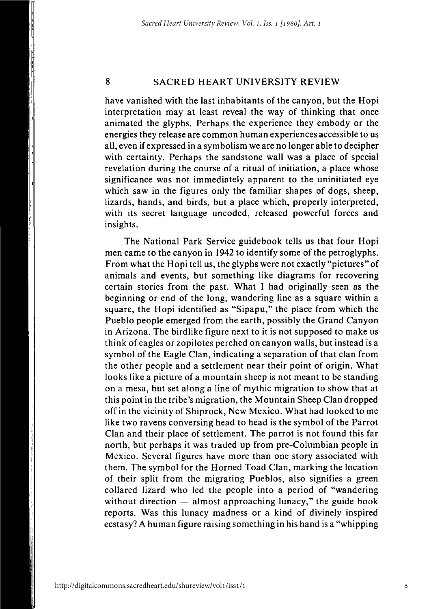#### 8 SACRED HEART UNIVERSITY REVIEW

have vanished with the last inhabitants of the canyon, but the Hopi interpretation may at least reveal the way of thinking that once animated the glyphs. Perhaps the experience they embody or the energies they release are common human experiences accessible to us all, even if expressed in a symbolism we are no longer able to decipher with certainty. Perhaps the sandstone wall was a place of special revelation during the course of a ritual of initiation, a place whose significance was not immediately apparent to the uninitiated eye which saw in the figures only the familiar shapes of dogs, sheep, lizards, hands, and birds, but a place which, properly interpreted, with its secret language uncoded, released powerful forces and insights.

The National Park Service guidebook tells us that four Hopi men came to the canyon in 1942 to identify some of the petroglyphs. From what the Hopi tell us, the glyphs were not exactly "pictures" of animals and events, but something like diagrams for recovering certain stories from the past. What I had originally seen as the beginning or end of the long, wandering line as a square within a square, the Hopi identified as "Sipapu," the place from which the Pueblo people emerged from the earth, possibly the Grand Canyon in Arizona. The birdlike figure next to it is not supposed to make us think of eagles or zopilotes perched on canyon walls, but instead is a symbol of the Eagle Clan, indicating a separation of that clan from the other people and a settlement near their point of origin. What looks like a picture of a mountain sheep is not meant to be standing on a mesa, but set along a line of mythic migration to show that at this point in the tribe's migration, the Mountain Sheep Clan dropped off in the vicinity of Shiprock, New Mexico. What had looked to me like two ravens conversing head to head is the symbol of the Parrot Clan and their place of settlement. The parrot is not found this far north, but perhaps it was traded up from pre-Columbian people in Mexico. Several figures have more than one story associated with them. The symbol for the Horned Toad Clan, marking the location of their split from the migrating Pueblos, also signifies a green collared lizard who led the people into a period of "wandering without direction — almost approaching lunacy," the guide book reports. Was this lunacy madness or a kind of divinely inspired ecstasy? A human figure raising something in his hand is a "whipping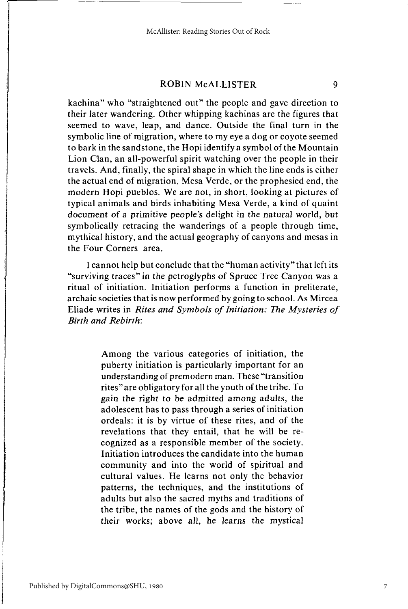kachina" who "straightened out" the people and gave direction to their later wandering. Other whipping kachinas are the figures that seemed to wave, leap, and dance. Outside the final turn in the symbolic line of migration, where to my eye a dog or coyote seemed to bark in the sandstone, the Hopi identify a symbol of the Mountain Lion Clan, an all-powerful spirit watching over the people in their travels. And, finally, the spiral shape in which the line ends is either the actual end of migration, Mesa Verde, or the prophesied end, the modern Hopi pueblos. We are not, in short, looking at pictures of typical animals and birds inhabiting Mesa Verde, a kind of quaint document of a primitive people's delight in the natural world, but symbolically retracing the wanderings of a people through time, mythical history, and the actual geography of canyons and mesas in the Four Corners area.

I cannot help but conclude that the "human activity" that left its "surviving traces" in the petroglyphs of Spruce Tree Canyon was a ritual of initiation. Initiation performs a function in preliterate, archaic societies that is now performed by going to school. As Mircea Eliade writes in *Rites and Symbols of Initiation: The Mysteries of Birth and Rebirth:* 

> Among the various categories of initiation, the puberty initiation is particularly important for an understanding of premodern man. These "transition rites" are obligatory for all the youth of the tribe. To gain the right to be admitted among adults, the adolescent has to pass through a series of initiation ordeals: it is by virtue of these rites, and of the revelations that they entail, that he will be recognized as a responsible member of the society. Initiation introduces the candidate into the human community and into the world of spiritual and cultural values. He learns not only the behavior patterns, the techniques, and the institutions of adults but also the sacred myths and traditions of the tribe, the names of the gods and the history of their works; above all, he learns the mystical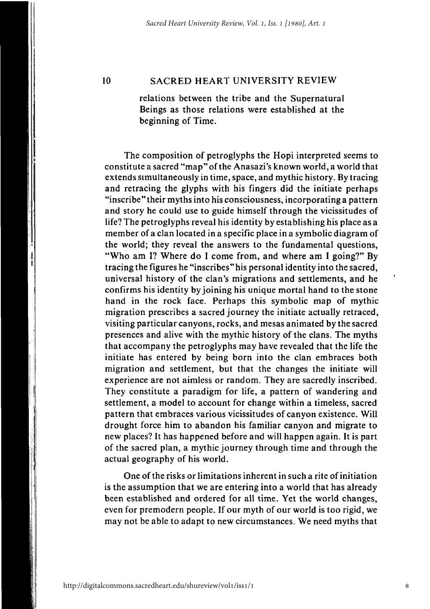#### 10 SACRED HEART UNIVERSITY REVIEW

relations between the tribe and the Supernatural Beings as those relations were established at the beginning of Time.

The composition of petroglyphs the Hopi interpreted seems to constitute a sacred "map" of the Anasazi's known world, a world that extends simultaneously in time, space, and mythic history. By tracing and retracing the glyphs with his fingers did the initiate perhaps "inscribe" their myths into his consciousness, incorporating a pattern and story he could use to guide himself through the vicissitudes of life? The petroglyphs reveal his identity by establishing his place as a member of a clan located in a specific place in a symbolic diagram of the world; they reveal the answers to the fundamental questions, "Who am I? Where do I come from, and where am I going?" By tracing the figures he "inscribes" his personal identity into the sacred, universal history of the clan's migrations and settlements, and he confirms his identity by joining his unique mortal hand to the stone hand in the rock face. Perhaps this symbolic map of mythic migration prescribes a sacred journey the initiate actually retraced, visiting particular canyons, rocks, and mesas animated by the sacred presences and alive with the mythic history of the clans. The myths that accompany the petroglyphs may have revealed that the life the initiate has entered by being born into the clan embraces both migration and settlement, but that the changes the initiate will experience are not aimless or random. They are sacredly inscribed. They constitute a paradigm for life, a pattern of wandering and settlement, a model to account for change within a timeless, sacred pattern that embraces various vicissitudes of canyon existence. Will drought force him to abandon his familiar canyon and migrate to new places? It has happened before and will happen again. It is part of the sacred plan, a mythic journey through time and through the actual geography of his world.

One of the risks or limitations inherent in such a rite of initiation is the assumption that we are entering into a world that has already been established and ordered for all time. Yet the world changes, even for premodern people. If our myth of our world is too rigid, we may not be able to adapt to new circumstances. We need myths that